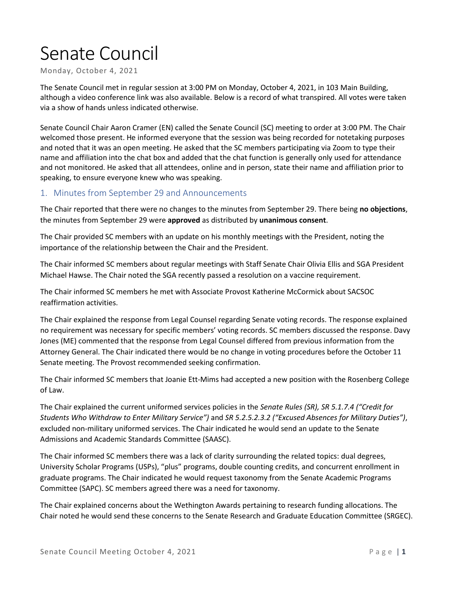# Senate Council

Monday, October 4, 2021

The Senate Council met in regular session at 3:00 PM on Monday, October 4, 2021, in 103 Main Building, although a video conference link was also available. Below is a record of what transpired. All votes were taken via a show of hands unless indicated otherwise.

Senate Council Chair Aaron Cramer (EN) called the Senate Council (SC) meeting to order at 3:00 PM. The Chair welcomed those present. He informed everyone that the session was being recorded for notetaking purposes and noted that it was an open meeting. He asked that the SC members participating via Zoom to type their name and affiliation into the chat box and added that the chat function is generally only used for attendance and not monitored. He asked that all attendees, online and in person, state their name and affiliation prior to speaking, to ensure everyone knew who was speaking.

## 1. Minutes from September 29 and Announcements

The Chair reported that there were no changes to the minutes from September 29. There being **no objections**, the minutes from September 29 were **approved** as distributed by **unanimous consent**.

The Chair provided SC members with an update on his monthly meetings with the President, noting the importance of the relationship between the Chair and the President.

The Chair informed SC members about regular meetings with Staff Senate Chair Olivia Ellis and SGA President Michael Hawse. The Chair noted the SGA recently passed a resolution on a vaccine requirement.

The Chair informed SC members he met with Associate Provost Katherine McCormick about SACSOC reaffirmation activities.

The Chair explained the response from Legal Counsel regarding Senate voting records. The response explained no requirement was necessary for specific members' voting records. SC members discussed the response. Davy Jones (ME) commented that the response from Legal Counsel differed from previous information from the Attorney General. The Chair indicated there would be no change in voting procedures before the October 11 Senate meeting. The Provost recommended seeking confirmation.

The Chair informed SC members that Joanie Ett-Mims had accepted a new position with the Rosenberg College of Law.

The Chair explained the current uniformed services policies in the *Senate Rules (SR), SR 5.1.7.4 ("Credit for Students Who Withdraw to Enter Military Service")* and *SR 5.2.5.2.3.2 ("Excused Absences for Military Duties")*, excluded non-military uniformed services. The Chair indicated he would send an update to the Senate Admissions and Academic Standards Committee (SAASC).

The Chair informed SC members there was a lack of clarity surrounding the related topics: dual degrees, University Scholar Programs (USPs), "plus" programs, double counting credits, and concurrent enrollment in graduate programs. The Chair indicated he would request taxonomy from the Senate Academic Programs Committee (SAPC). SC members agreed there was a need for taxonomy.

The Chair explained concerns about the Wethington Awards pertaining to research funding allocations. The Chair noted he would send these concerns to the Senate Research and Graduate Education Committee (SRGEC).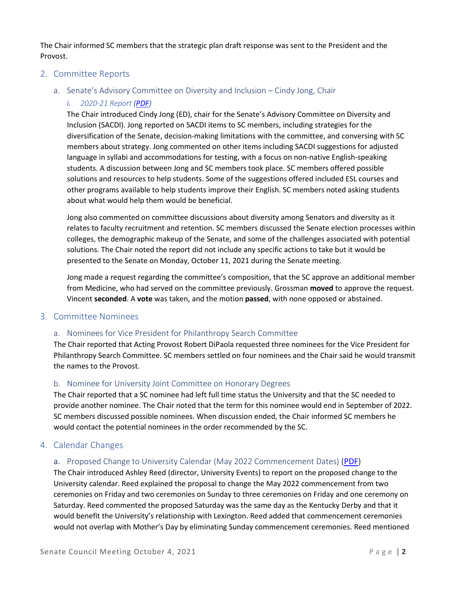The Chair informed SC members that the strategic plan draft response was sent to the President and the Provost.

#### 2. Committee Reports

#### a. Senate's Advisory Committee on Diversity and Inclusion – Cindy Jong, Chair

#### *i. 2020-21 Report [\(PDF\)](https://www.uky.edu/universitysenate/sites/www.uky.edu.universitysenate/files/SACDI_2020-21-SummaryMemo.pdf)*

The Chair introduced Cindy Jong (ED), chair for the Senate's Advisory Committee on Diversity and Inclusion (SACDI). Jong reported on SACDI items to SC members, including strategies for the diversification of the Senate, decision-making limitations with the committee, and conversing with SC members about strategy. Jong commented on other items including SACDI suggestions for adjusted language in syllabi and accommodations for testing, with a focus on non-native English-speaking students. A discussion between Jong and SC members took place. SC members offered possible solutions and resources to help students. Some of the suggestions offered included ESL courses and other programs available to help students improve their English. SC members noted asking students about what would help them would be beneficial.

Jong also commented on committee discussions about diversity among Senators and diversity as it relates to faculty recruitment and retention. SC members discussed the Senate election processes within colleges, the demographic makeup of the Senate, and some of the challenges associated with potential solutions. The Chair noted the report did not include any specific actions to take but it would be presented to the Senate on Monday, October 11, 2021 during the Senate meeting.

Jong made a request regarding the committee's composition, that the SC approve an additional member from Medicine, who had served on the committee previously. Grossman **moved** to approve the request. Vincent **seconded**. A **vote** was taken, and the motion **passed**, with none opposed or abstained.

#### 3. Committee Nominees

#### a. Nominees for Vice President for Philanthropy Search Committee

The Chair reported that Acting Provost Robert DiPaola requested three nominees for the Vice President for Philanthropy Search Committee. SC members settled on four nominees and the Chair said he would transmit the names to the Provost.

#### b. Nominee for University Joint Committee on Honorary Degrees

The Chair reported that a SC nominee had left full time status the University and that the SC needed to provide another nominee. The Chair noted that the term for this nominee would end in September of 2022. SC members discussed possible nominees. When discussion ended, the Chair informed SC members he would contact the potential nominees in the order recommended by the SC.

#### 4. Calendar Changes

#### a. Proposed Change to University Calendar (May 2022 Commencement Dates) [\(PDF\)](https://www.uky.edu/universitysenate/sites/www.uky.edu.universitysenate/files/May%202022%20Commencement%20Proposal-%20SC%20.pdf)

The Chair introduced Ashley Reed (director, University Events) to report on the proposed change to the University calendar. Reed explained the proposal to change the May 2022 commencement from two ceremonies on Friday and two ceremonies on Sunday to three ceremonies on Friday and one ceremony on Saturday. Reed commented the proposed Saturday was the same day as the Kentucky Derby and that it would benefit the University's relationship with Lexington. Reed added that commencement ceremonies would not overlap with Mother's Day by eliminating Sunday commencement ceremonies. Reed mentioned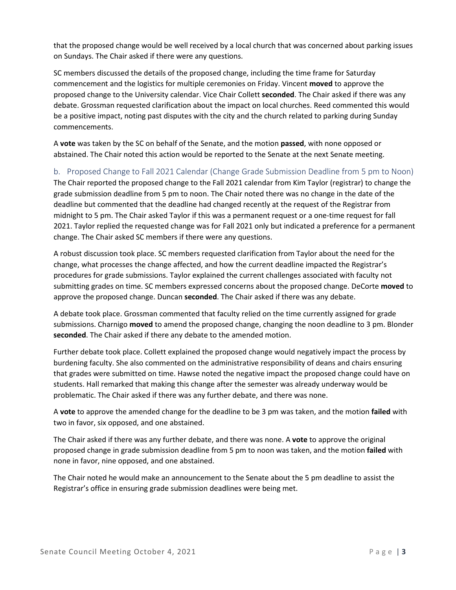that the proposed change would be well received by a local church that was concerned about parking issues on Sundays. The Chair asked if there were any questions.

SC members discussed the details of the proposed change, including the time frame for Saturday commencement and the logistics for multiple ceremonies on Friday. Vincent **moved** to approve the proposed change to the University calendar. Vice Chair Collett **seconded**. The Chair asked if there was any debate. Grossman requested clarification about the impact on local churches. Reed commented this would be a positive impact, noting past disputes with the city and the church related to parking during Sunday commencements.

A **vote** was taken by the SC on behalf of the Senate, and the motion **passed**, with none opposed or abstained. The Chair noted this action would be reported to the Senate at the next Senate meeting.

b. Proposed Change to Fall 2021 Calendar (Change Grade Submission Deadline from 5 pm to Noon) The Chair reported the proposed change to the Fall 2021 calendar from Kim Taylor (registrar) to change the grade submission deadline from 5 pm to noon. The Chair noted there was no change in the date of the deadline but commented that the deadline had changed recently at the request of the Registrar from midnight to 5 pm. The Chair asked Taylor if this was a permanent request or a one-time request for fall 2021. Taylor replied the requested change was for Fall 2021 only but indicated a preference for a permanent change. The Chair asked SC members if there were any questions.

A robust discussion took place. SC members requested clarification from Taylor about the need for the change, what processes the change affected, and how the current deadline impacted the Registrar's procedures for grade submissions. Taylor explained the current challenges associated with faculty not submitting grades on time. SC members expressed concerns about the proposed change. DeCorte **moved** to approve the proposed change. Duncan **seconded**. The Chair asked if there was any debate.

A debate took place. Grossman commented that faculty relied on the time currently assigned for grade submissions. Charnigo **moved** to amend the proposed change, changing the noon deadline to 3 pm. Blonder **seconded**. The Chair asked if there any debate to the amended motion.

Further debate took place. Collett explained the proposed change would negatively impact the process by burdening faculty. She also commented on the administrative responsibility of deans and chairs ensuring that grades were submitted on time. Hawse noted the negative impact the proposed change could have on students. Hall remarked that making this change after the semester was already underway would be problematic. The Chair asked if there was any further debate, and there was none.

A **vote** to approve the amended change for the deadline to be 3 pm was taken, and the motion **failed** with two in favor, six opposed, and one abstained.

The Chair asked if there was any further debate, and there was none. A **vote** to approve the original proposed change in grade submission deadline from 5 pm to noon was taken, and the motion **failed** with none in favor, nine opposed, and one abstained.

The Chair noted he would make an announcement to the Senate about the 5 pm deadline to assist the Registrar's office in ensuring grade submission deadlines were being met.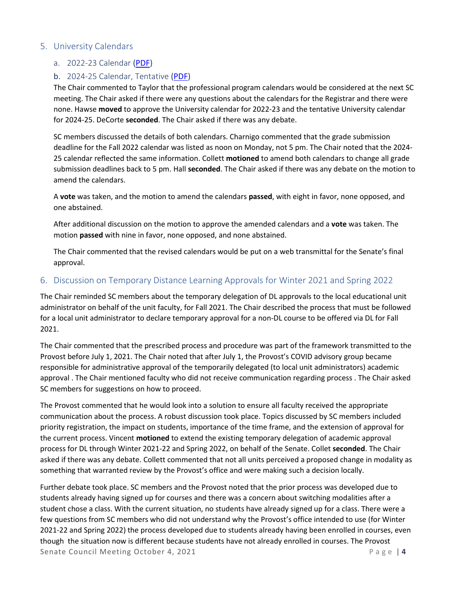#### 5. University Calendars

#### a. 2022-23 Calendar [\(PDF\)](https://www.uky.edu/universitysenate/sites/www.uky.edu.universitysenate/files/2022%20-%202023%20Academic%20Calendar%20%28FINAL%20-%20PENDING%20APPROVAL%29.pdf)

#### b. 2024-25 Calendar, Tentative [\(PDF\)](https://www.uky.edu/universitysenate/sites/www.uky.edu.universitysenate/files/2024%20-%202025%20Academic%20Calendar%20%28TENTATIVE%20-%20PENDING%20APPROVAL%29.pdf)

The Chair commented to Taylor that the professional program calendars would be considered at the next SC meeting. The Chair asked if there were any questions about the calendars for the Registrar and there were none. Hawse **moved** to approve the University calendar for 2022-23 and the tentative University calendar for 2024-25. DeCorte **seconded**. The Chair asked if there was any debate.

SC members discussed the details of both calendars. Charnigo commented that the grade submission deadline for the Fall 2022 calendar was listed as noon on Monday, not 5 pm. The Chair noted that the 2024- 25 calendar reflected the same information. Collett **motioned** to amend both calendars to change all grade submission deadlines back to 5 pm. Hall **seconded**. The Chair asked if there was any debate on the motion to amend the calendars.

A **vote** was taken, and the motion to amend the calendars **passed**, with eight in favor, none opposed, and one abstained.

After additional discussion on the motion to approve the amended calendars and a **vote** was taken. The motion **passed** with nine in favor, none opposed, and none abstained.

The Chair commented that the revised calendars would be put on a web transmittal for the Senate's final approval.

#### 6. Discussion on Temporary Distance Learning Approvals for Winter 2021 and Spring 2022

The Chair reminded SC members about the temporary delegation of DL approvals to the local educational unit administrator on behalf of the unit faculty, for Fall 2021. The Chair described the process that must be followed for a local unit administrator to declare temporary approval for a non-DL course to be offered via DL for Fall 2021.

The Chair commented that the prescribed process and procedure was part of the framework transmitted to the Provost before July 1, 2021. The Chair noted that after July 1, the Provost's COVID advisory group became responsible for administrative approval of the temporarily delegated (to local unit administrators) academic approval . The Chair mentioned faculty who did not receive communication regarding process . The Chair asked SC members for suggestions on how to proceed.

The Provost commented that he would look into a solution to ensure all faculty received the appropriate communication about the process. A robust discussion took place. Topics discussed by SC members included priority registration, the impact on students, importance of the time frame, and the extension of approval for the current process. Vincent **motioned** to extend the existing temporary delegation of academic approval process for DL through Winter 2021-22 and Spring 2022, on behalf of the Senate. Collet **seconded**. The Chair asked if there was any debate. Collett commented that not all units perceived a proposed change in modality as something that warranted review by the Provost's office and were making such a decision locally.

Senate Council Meeting October 4, 2021 **Page 14** Further debate took place. SC members and the Provost noted that the prior process was developed due to students already having signed up for courses and there was a concern about switching modalities after a student chose a class. With the current situation, no students have already signed up for a class. There were a few questions from SC members who did not understand why the Provost's office intended to use (for Winter 2021-22 and Spring 2022) the process developed due to students already having been enrolled in courses, even though the situation now is different because students have not already enrolled in courses. The Provost